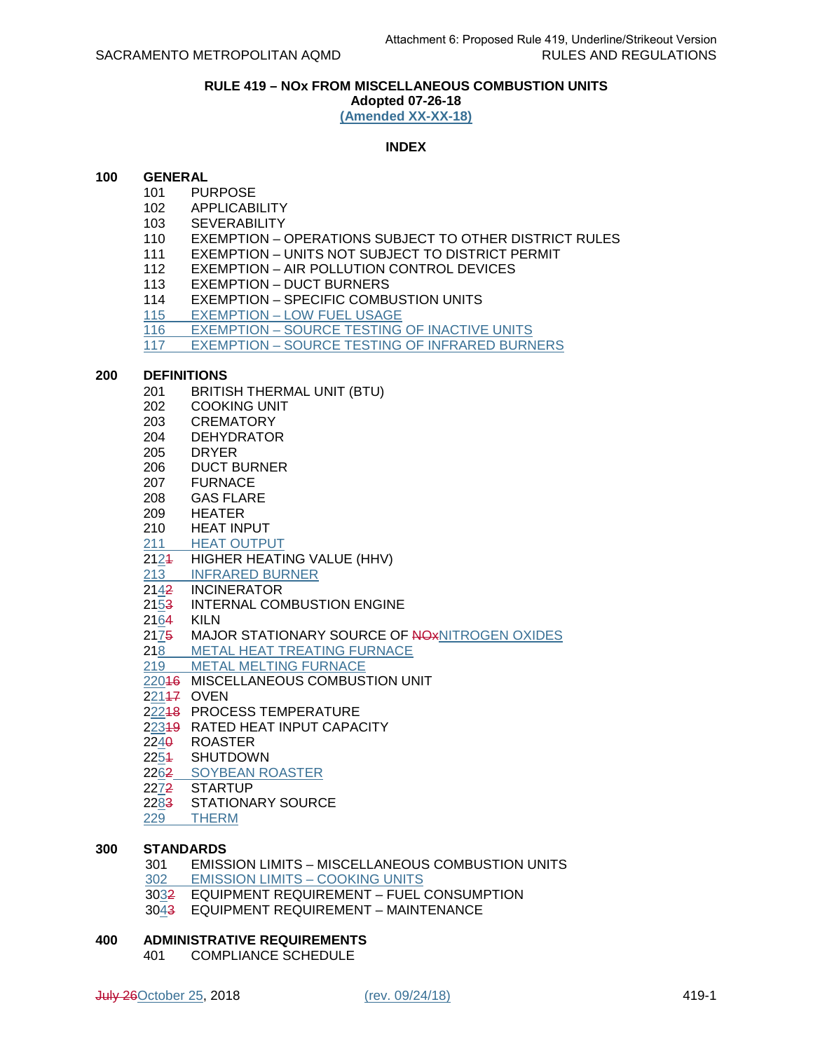## **RULE 419 – NOx FROM MISCELLANEOUS COMBUSTION UNITS**

**Adopted 07-26-18 (Amended XX-XX-18)**

## **INDEX**

## **100 GENERAL**

- 101 PURPOSE
- 102 APPLICABILITY
- 103 SEVERABILITY
- 110 EXEMPTION OPERATIONS SUBJECT TO OTHER DISTRICT RULES
- 111 EXEMPTION UNITS NOT SUBJECT TO DISTRICT PERMIT
- 112 EXEMPTION AIR POLLUTION CONTROL DEVICES
- 113 EXEMPTION DUCT BURNERS
- 114 EXEMPTION SPECIFIC COMBUSTION UNITS
- 115 EXEMPTION LOW FUEL USAGE
- 116 EXEMPTION SOURCE TESTING OF INACTIVE UNITS
- 117 EXEMPTION SOURCE TESTING OF INFRARED BURNERS

#### **200 DEFINITIONS**

- 201 BRITISH THERMAL UNIT (BTU)
- 202 COOKING UNIT
- 203 CREMATORY
- 204 DEHYDRATOR
- 205 DRYER
- 206 DUCT BURNER
- 207 FURNACE
- 208 GAS FLARE
- 209 HEATER
- 210 HEAT INPUT
- 211 HEAT OUTPUT
- 2124 HIGHER HEATING VALUE (HHV)
- 213 INFRARED BURNER
- 2142 INCINERATOR
- 2153 INTERNAL COMBUSTION ENGINE
- 2164 KILN
- 2175 MAJOR STATIONARY SOURCE OF NOXITIROGEN OXIDES
- 218 METAL HEAT TREATING FURNACE<br>219 METAL MELTING FURNACE
- **METAL MELTING FURNACE**
- 22016 MISCELLANEOUS COMBUSTION UNIT
- 221<del>17</del> OVEN
- 22218 PROCESS TEMPERATURE
- 22319 RATED HEAT INPUT CAPACITY
- 2240 ROASTER
- 2254 SHUTDOWN
- 2262 SOYBEAN ROASTER
- 2272 STARTUP
- 2283 STATIONARY SOURCE
- 229 THERM

# **300 STANDARDS**

- 301 EMISSION LIMITS MISCELLANEOUS COMBUSTION UNITS 302 EMISSION LIMITS – COOKING UNITS
- 3032 EQUIPMENT REQUIREMENT FUEL CONSUMPTION 3043 EQUIPMENT REQUIREMENT – MAINTENANCE
- 

## **400 ADMINISTRATIVE REQUIREMENTS**

401 COMPLIANCE SCHEDULE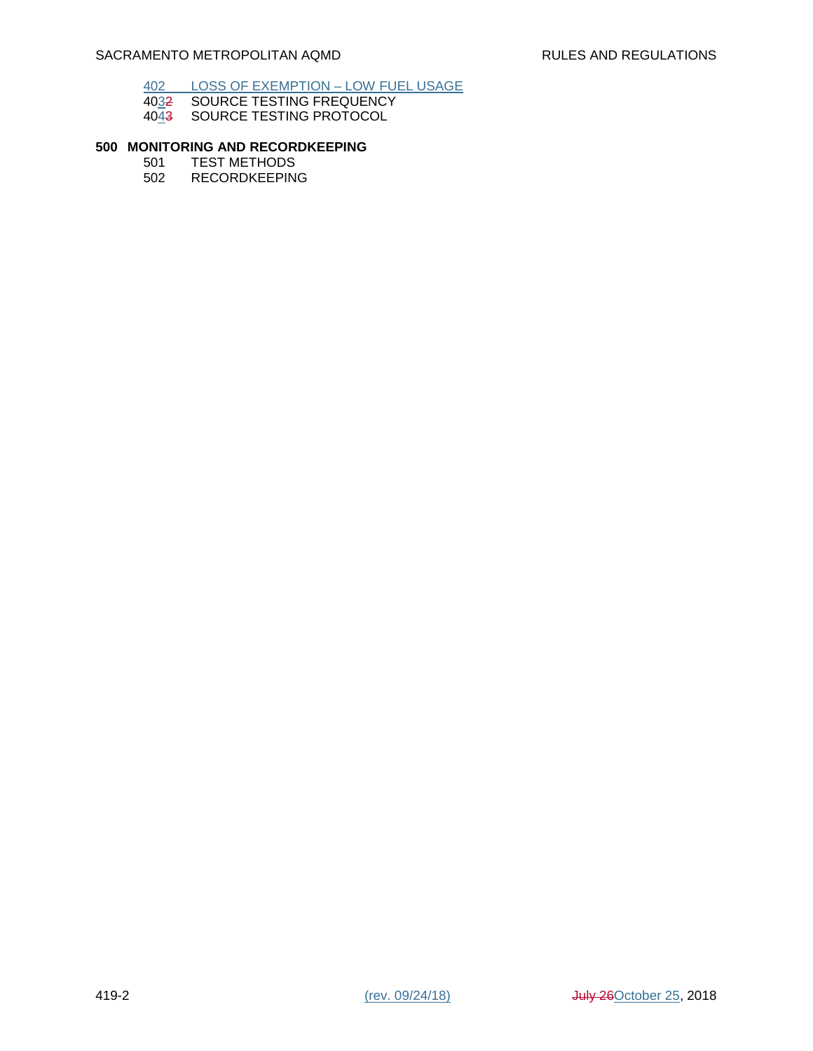## 402 LOSS OF EXEMPTION – LOW FUEL USAGE

- 4032 SOURCE TESTING FREQUENCY
- 4043 SOURCE TESTING PROTOCOL

# **500 MONITORING AND RECORDKEEPING**

- 501 TEST METHODS<br>502 RECORDKEEPIN
- **RECORDKEEPING**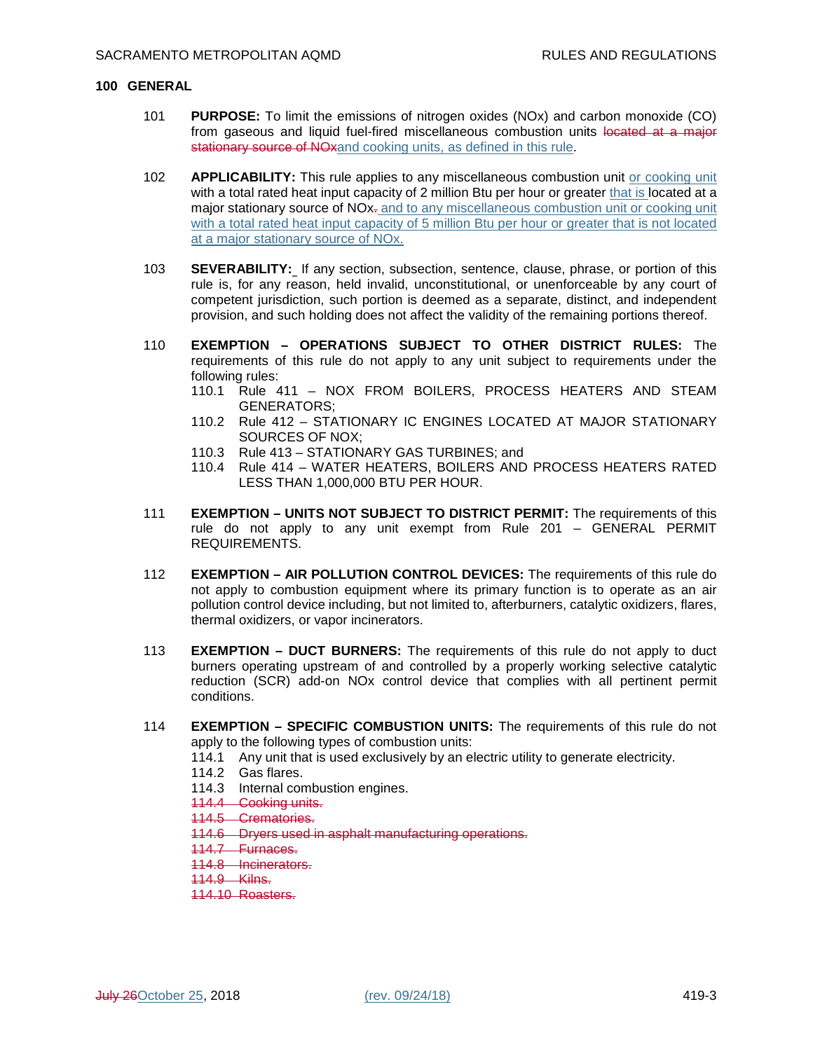#### **100 GENERAL**

- 101 **PURPOSE:** To limit the emissions of nitrogen oxides (NOx) and carbon monoxide (CO) from gaseous and liquid fuel-fired miscellaneous combustion units located at a major stationary source of NOxand cooking units, as defined in this rule.
- 102 **APPLICABILITY:** This rule applies to any miscellaneous combustion unit or cooking unit with a total rated heat input capacity of 2 million Btu per hour or greater that is located at a major stationary source of NO<sub>x</sub>- and to any miscellaneous combustion unit or cooking unit with a total rated heat input capacity of 5 million Btu per hour or greater that is not located at a major stationary source of NOx.
- 103 **SEVERABILITY:** If any section, subsection, sentence, clause, phrase, or portion of this rule is, for any reason, held invalid, unconstitutional, or unenforceable by any court of competent jurisdiction, such portion is deemed as a separate, distinct, and independent provision, and such holding does not affect the validity of the remaining portions thereof.
- 110 **EXEMPTION OPERATIONS SUBJECT TO OTHER DISTRICT RULES:** The requirements of this rule do not apply to any unit subject to requirements under the following rules:
	- 110.1 Rule 411 NOX FROM BOILERS, PROCESS HEATERS AND STEAM GENERATORS;
	- 110.2 Rule 412 STATIONARY IC ENGINES LOCATED AT MAJOR STATIONARY SOURCES OF NOX;
	- 110.3 Rule 413 STATIONARY GAS TURBINES; and
	- 110.4 Rule 414 WATER HEATERS, BOILERS AND PROCESS HEATERS RATED LESS THAN 1,000,000 BTU PER HOUR.
- 111 **EXEMPTION UNITS NOT SUBJECT TO DISTRICT PERMIT:** The requirements of this rule do not apply to any unit exempt from Rule 201 – GENERAL PERMIT REQUIREMENTS.
- 112 **EXEMPTION AIR POLLUTION CONTROL DEVICES:** The requirements of this rule do not apply to combustion equipment where its primary function is to operate as an air pollution control device including, but not limited to, afterburners, catalytic oxidizers, flares, thermal oxidizers, or vapor incinerators.
- 113 **EXEMPTION DUCT BURNERS:** The requirements of this rule do not apply to duct burners operating upstream of and controlled by a properly working selective catalytic reduction (SCR) add-on NOx control device that complies with all pertinent permit conditions.
- 114 **EXEMPTION SPECIFIC COMBUSTION UNITS:** The requirements of this rule do not apply to the following types of combustion units:
	- 114.1 Any unit that is used exclusively by an electric utility to generate electricity.
	- 114.2 Gas flares.
	- 114.3 Internal combustion engines.
	- 114.4 Cooking units.
	- 114.5 Crematories.
	- 114.6 Dryers used in asphalt manufacturing operations.
	- 114.7 Furnaces.
	- 114.8 Incinerators.
	- 114.9 Kilns.
	- 114.10 Roasters.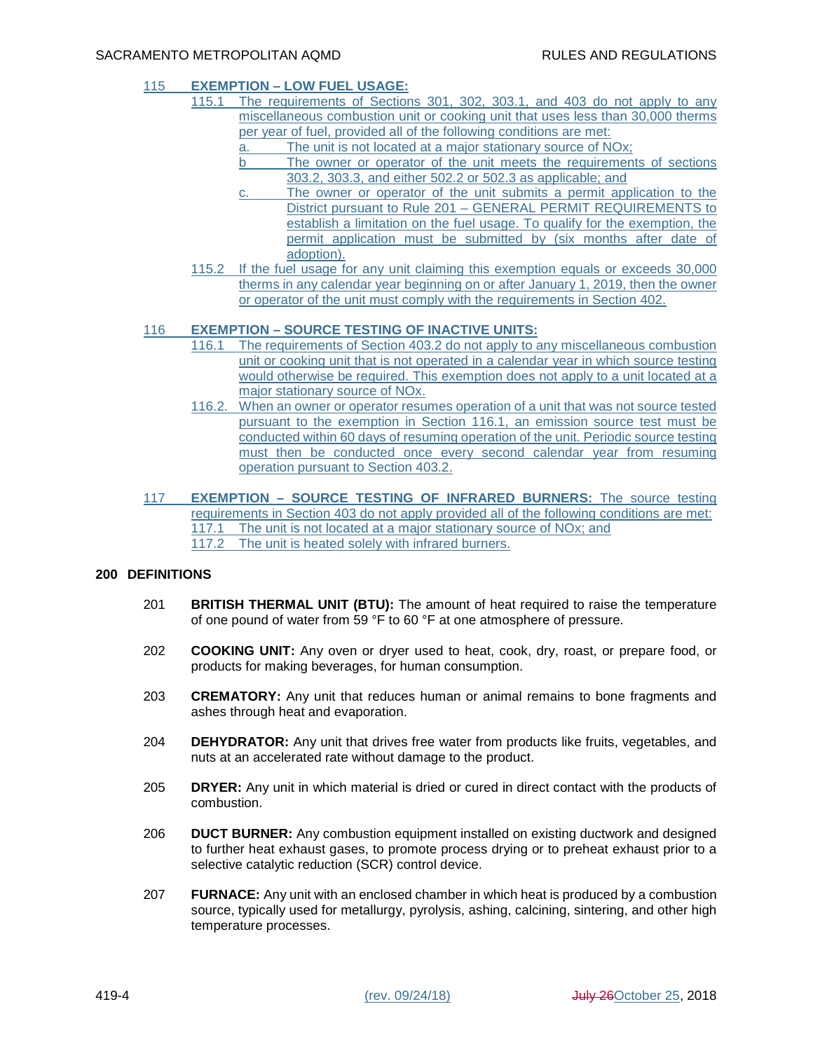## 115 **EXEMPTION – LOW FUEL USAGE:**

- 115.1 The requirements of Sections 301, 302, 303.1, and 403 do not apply to any miscellaneous combustion unit or cooking unit that uses less than 30,000 therms per year of fuel, provided all of the following conditions are met:
	- a. The unit is not located at a major stationary source of NOx;
	- b The owner or operator of the unit meets the requirements of sections 303.2, 303.3, and either 502.2 or 502.3 as applicable; and
	- c. The owner or operator of the unit submits a permit application to the District pursuant to Rule 201 – GENERAL PERMIT REQUIREMENTS to establish a limitation on the fuel usage. To qualify for the exemption, the permit application must be submitted by (six months after date of adoption).
	- 115.2 If the fuel usage for any unit claiming this exemption equals or exceeds 30,000 therms in any calendar year beginning on or after January 1, 2019, then the owner or operator of the unit must comply with the requirements in Section 402.

## 116 **EXEMPTION – SOURCE TESTING OF INACTIVE UNITS:**

- 116.1 The requirements of Section 403.2 do not apply to any miscellaneous combustion unit or cooking unit that is not operated in a calendar year in which source testing would otherwise be required. This exemption does not apply to a unit located at a major stationary source of NOx.
- 116.2. When an owner or operator resumes operation of a unit that was not source tested pursuant to the exemption in Section 116.1, an emission source test must be conducted within 60 days of resuming operation of the unit. Periodic source testing must then be conducted once every second calendar year from resuming operation pursuant to Section 403.2.
- 117 **EXEMPTION SOURCE TESTING OF INFRARED BURNERS:** The source testing requirements in Section 403 do not apply provided all of the following conditions are met: 117.1 The unit is not located at a major stationary source of NOx; and 117.2 The unit is heated solely with infrared burners.

## **200 DEFINITIONS**

- 201 **BRITISH THERMAL UNIT (BTU):** The amount of heat required to raise the temperature of one pound of water from 59 °F to 60 °F at one atmosphere of pressure.
- 202 **COOKING UNIT:** Any oven or dryer used to heat, cook, dry, roast, or prepare food, or products for making beverages, for human consumption.
- 203 **CREMATORY:** Any unit that reduces human or animal remains to bone fragments and ashes through heat and evaporation.
- 204 **DEHYDRATOR:** Any unit that drives free water from products like fruits, vegetables, and nuts at an accelerated rate without damage to the product.
- 205 **DRYER:** Any unit in which material is dried or cured in direct contact with the products of combustion.
- 206 **DUCT BURNER:** Any combustion equipment installed on existing ductwork and designed to further heat exhaust gases, to promote process drying or to preheat exhaust prior to a selective catalytic reduction (SCR) control device.
- 207 **FURNACE:** Any unit with an enclosed chamber in which heat is produced by a combustion source, typically used for metallurgy, pyrolysis, ashing, calcining, sintering, and other high temperature processes.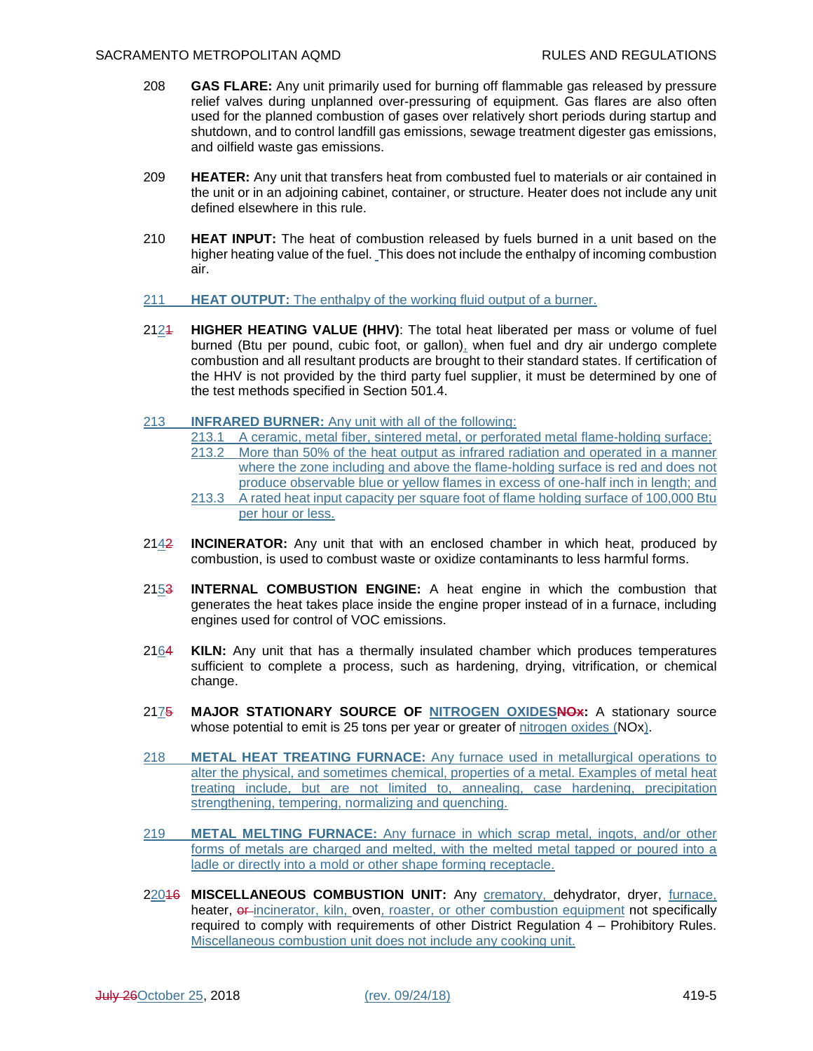- 208 **GAS FLARE:** Any unit primarily used for burning off flammable gas released by pressure relief valves during unplanned over-pressuring of equipment. Gas flares are also often used for the planned combustion of gases over relatively short periods during startup and shutdown, and to control landfill gas emissions, sewage treatment digester gas emissions, and oilfield waste gas emissions.
- 209 **HEATER:** Any unit that transfers heat from combusted fuel to materials or air contained in the unit or in an adjoining cabinet, container, or structure. Heater does not include any unit defined elsewhere in this rule.
- 210 **HEAT INPUT:** The heat of combustion released by fuels burned in a unit based on the higher heating value of the fuel. This does not include the enthalpy of incoming combustion air.
- 211 **HEAT OUTPUT:** The enthalpy of the working fluid output of a burner.
- 2121 **HIGHER HEATING VALUE (HHV)**: The total heat liberated per mass or volume of fuel burned (Btu per pound, cubic foot, or gallon), when fuel and dry air undergo complete combustion and all resultant products are brought to their standard states. If certification of the HHV is not provided by the third party fuel supplier, it must be determined by one of the test methods specified in Section 501.4.
- 213 **INFRARED BURNER:** Any unit with all of the following:
	- 213.1 A ceramic, metal fiber, sintered metal, or perforated metal flame-holding surface;
	- 213.2 More than 50% of the heat output as infrared radiation and operated in a manner where the zone including and above the flame-holding surface is red and does not
	- produce observable blue or yellow flames in excess of one-half inch in length; and 213.3 A rated heat input capacity per square foot of flame holding surface of 100,000 Btu per hour or less.
- 2142 **INCINERATOR:** Any unit that with an enclosed chamber in which heat, produced by combustion, is used to combust waste or oxidize contaminants to less harmful forms.
- 2153 **INTERNAL COMBUSTION ENGINE:** A heat engine in which the combustion that generates the heat takes place inside the engine proper instead of in a furnace, including engines used for control of VOC emissions.
- 2164 **KILN:** Any unit that has a thermally insulated chamber which produces temperatures sufficient to complete a process, such as hardening, drying, vitrification, or chemical change.
- 2175 **MAJOR STATIONARY SOURCE OF NITROGEN OXIDESNOx:** A stationary source whose potential to emit is 25 tons per year or greater of nitrogen oxides (NOx).
- 218 **METAL HEAT TREATING FURNACE:** Any furnace used in metallurgical operations to alter the physical, and sometimes chemical, properties of a metal. Examples of metal heat treating include, but are not limited to, annealing, case hardening, precipitation strengthening, tempering, normalizing and quenching.
- 219 **METAL MELTING FURNACE:** Any furnace in which scrap metal, ingots, and/or other forms of metals are charged and melted, with the melted metal tapped or poured into a ladle or directly into a mold or other shape forming receptacle.
- 22016 **MISCELLANEOUS COMBUSTION UNIT:** Any crematory, dehydrator, dryer, furnace, heater, or-incinerator, kiln, oven, roaster, or other combustion equipment not specifically required to comply with requirements of other District Regulation 4 – Prohibitory Rules. Miscellaneous combustion unit does not include any cooking unit.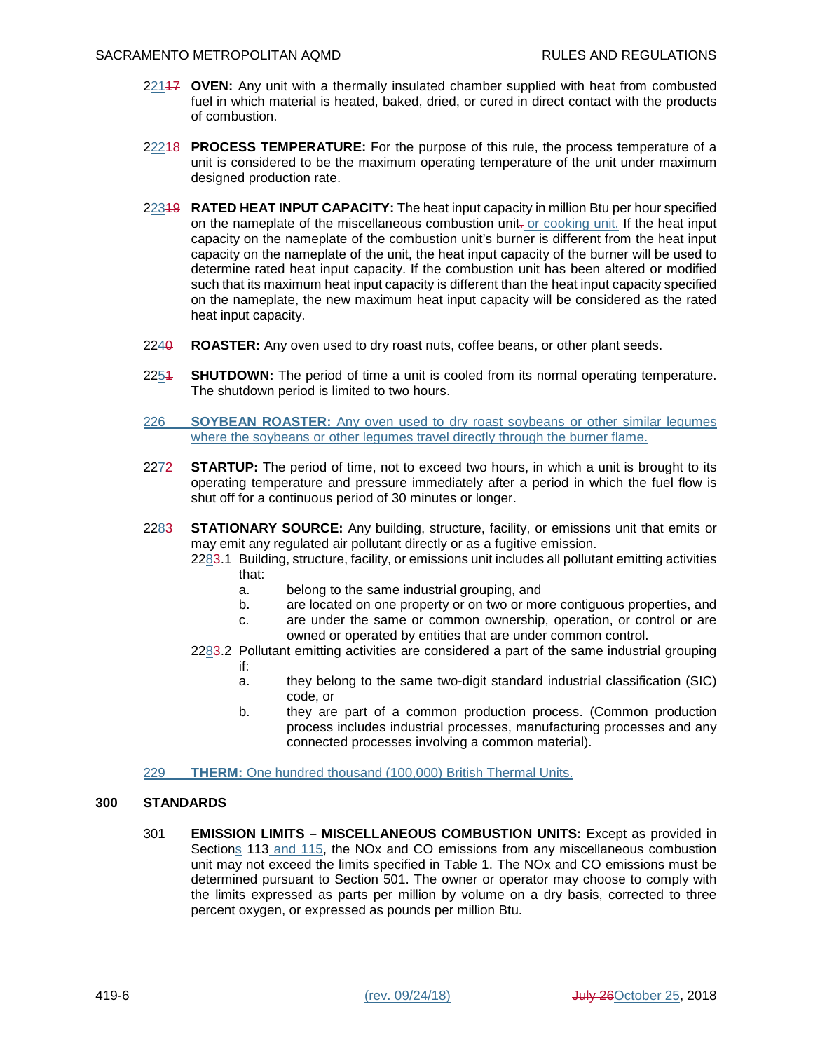- 22117 **OVEN:** Any unit with a thermally insulated chamber supplied with heat from combusted fuel in which material is heated, baked, dried, or cured in direct contact with the products of combustion.
- 22218 **PROCESS TEMPERATURE:** For the purpose of this rule, the process temperature of a unit is considered to be the maximum operating temperature of the unit under maximum designed production rate.
- 22319 **RATED HEAT INPUT CAPACITY:** The heat input capacity in million Btu per hour specified on the nameplate of the miscellaneous combustion unit-or cooking unit. If the heat input capacity on the nameplate of the combustion unit's burner is different from the heat input capacity on the nameplate of the unit, the heat input capacity of the burner will be used to determine rated heat input capacity. If the combustion unit has been altered or modified such that its maximum heat input capacity is different than the heat input capacity specified on the nameplate, the new maximum heat input capacity will be considered as the rated heat input capacity.
- 2240 **ROASTER:** Any oven used to dry roast nuts, coffee beans, or other plant seeds.
- 2254 **SHUTDOWN:** The period of time a unit is cooled from its normal operating temperature. The shutdown period is limited to two hours.
- 226 **SOYBEAN ROASTER:** Any oven used to dry roast soybeans or other similar legumes where the soybeans or other legumes travel directly through the burner flame.
- 2272 **STARTUP:** The period of time, not to exceed two hours, in which a unit is brought to its operating temperature and pressure immediately after a period in which the fuel flow is shut off for a continuous period of 30 minutes or longer.
- 2283 **STATIONARY SOURCE:** Any building, structure, facility, or emissions unit that emits or may emit any regulated air pollutant directly or as a fugitive emission.
	- 2283.1 Building, structure, facility, or emissions unit includes all pollutant emitting activities that:
		- a. belong to the same industrial grouping, and
		- b. are located on one property or on two or more contiguous properties, and
		- c. are under the same or common ownership, operation, or control or are owned or operated by entities that are under common control.
	- 2283.2 Pollutant emitting activities are considered a part of the same industrial grouping if:
		- a. they belong to the same two-digit standard industrial classification (SIC) code, or
		- b. they are part of a common production process. (Common production process includes industrial processes, manufacturing processes and any connected processes involving a common material).
- 229 **THERM:** One hundred thousand (100,000) British Thermal Units.

## **300 STANDARDS**

301 **EMISSION LIMITS – MISCELLANEOUS COMBUSTION UNITS:** Except as provided in Sections 113 and 115, the NOx and CO emissions from any miscellaneous combustion unit may not exceed the limits specified in Table 1. The NOx and CO emissions must be determined pursuant to Section 501. The owner or operator may choose to comply with the limits expressed as parts per million by volume on a dry basis, corrected to three percent oxygen, or expressed as pounds per million Btu.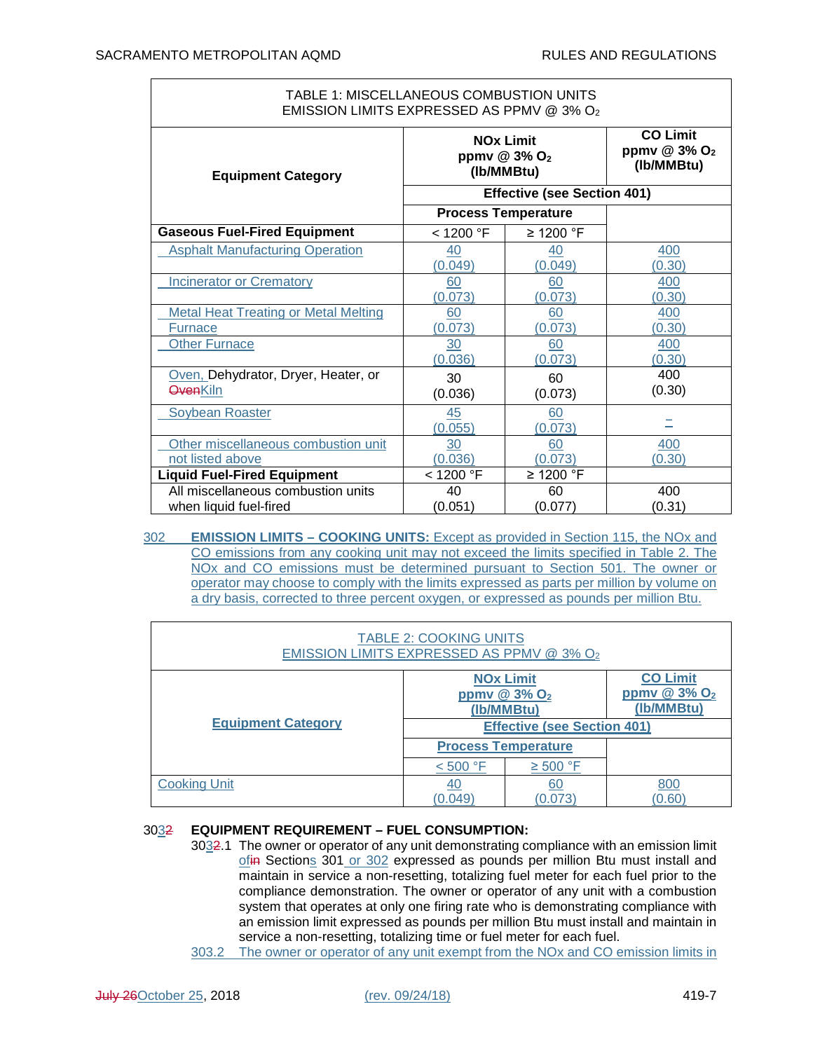| TABLE 1: MISCELLANEOUS COMBUSTION UNITS<br>EMISSION LIMITS EXPRESSED AS PPMV @ 3% O2 |                                                                       |                            |                                                             |  |  |
|--------------------------------------------------------------------------------------|-----------------------------------------------------------------------|----------------------------|-------------------------------------------------------------|--|--|
| <b>Equipment Category</b>                                                            | <b>NO<sub>x</sub></b> Limit<br>ppmv @ 3% O <sub>2</sub><br>(Ib/MMBtu) |                            | <b>CO Limit</b><br>ppmv $@3\%$ O <sub>2</sub><br>(Ib/MMBtu) |  |  |
|                                                                                      | <b>Effective (see Section 401)</b>                                    |                            |                                                             |  |  |
|                                                                                      |                                                                       | <b>Process Temperature</b> |                                                             |  |  |
| <b>Gaseous Fuel-Fired Equipment</b>                                                  | < 1200 °F                                                             | $\geq$ 1200 °F             |                                                             |  |  |
| <b>Asphalt Manufacturing Operation</b>                                               | 40<br>(0.049)                                                         | 40<br>(0.049)              | 400<br>(0.30)                                               |  |  |
| <b>Incinerator or Crematory</b>                                                      | 60<br>(0.073)                                                         | 60<br>(0.073)              | 400<br>(0.30)                                               |  |  |
| <b>Metal Heat Treating or Metal Melting</b>                                          | 60                                                                    | 60                         | 400                                                         |  |  |
| <b>Furnace</b>                                                                       | (0.073)                                                               | (0.073)                    | (0.30)                                                      |  |  |
| <b>Other Furnace</b>                                                                 | 30<br>(0.036)                                                         | 60<br>(0.073)              | 400<br>(0.30)                                               |  |  |
| Oven, Dehydrator, Dryer, Heater, or<br><b>OvenKiln</b>                               | 30<br>(0.036)                                                         | 60<br>(0.073)              | 400<br>(0.30)                                               |  |  |
| Soybean Roaster                                                                      | 45<br>(0.055)                                                         | 60<br>(0.073)              |                                                             |  |  |
| Other miscellaneous combustion unit                                                  | 30                                                                    | 60                         | 400                                                         |  |  |
| not listed above                                                                     | (0.036)                                                               | (0.073)                    | (0.30)                                                      |  |  |
| <b>Liquid Fuel-Fired Equipment</b>                                                   | < 1200 °F                                                             | $\geq$ 1200 °F             |                                                             |  |  |
| All miscellaneous combustion units                                                   | 40                                                                    | 60                         | 400                                                         |  |  |
| when liquid fuel-fired                                                               | (0.051)                                                               | (0.077)                    | (0.31)                                                      |  |  |

302 **EMISSION LIMITS – COOKING UNITS:** Except as provided in Section 115, the NOx and CO emissions from any cooking unit may not exceed the limits specified in Table 2. The NOx and CO emissions must be determined pursuant to Section 501. The owner or operator may choose to comply with the limits expressed as parts per million by volume on a dry basis, corrected to three percent oxygen, or expressed as pounds per million Btu.

| <b>TABLE 2: COOKING UNITS</b><br>EMISSION LIMITS EXPRESSED AS PPMV @ 3% O2 |                                                               |               |                                                             |  |  |  |
|----------------------------------------------------------------------------|---------------------------------------------------------------|---------------|-------------------------------------------------------------|--|--|--|
|                                                                            | <b>NOx Limit</b><br>ppmv @ $3\%$ O <sub>2</sub><br>(Ib/MMBtu) |               | <b>CO Limit</b><br>ppmv $@3\%$ O <sub>2</sub><br>(Ib/MMBtu) |  |  |  |
| <b>Equipment Category</b>                                                  | <b>Effective (see Section 401)</b>                            |               |                                                             |  |  |  |
|                                                                            | <b>Process Temperature</b>                                    |               |                                                             |  |  |  |
|                                                                            | < 500 °F                                                      | $\geq 500$ °F |                                                             |  |  |  |
| <b>Cooking Unit</b>                                                        | 40                                                            | 60            | 800                                                         |  |  |  |
|                                                                            | 0.049                                                         | (0.073        | (0.60)                                                      |  |  |  |

## 3032 **EQUIPMENT REQUIREMENT – FUEL CONSUMPTION:**

- 3032.1 The owner or operator of any unit demonstrating compliance with an emission limit ofin Sections 301 or 302 expressed as pounds per million Btu must install and maintain in service a non-resetting, totalizing fuel meter for each fuel prior to the compliance demonstration. The owner or operator of any unit with a combustion system that operates at only one firing rate who is demonstrating compliance with an emission limit expressed as pounds per million Btu must install and maintain in service a non-resetting, totalizing time or fuel meter for each fuel.
- 303.2 The owner or operator of any unit exempt from the NOx and CO emission limits in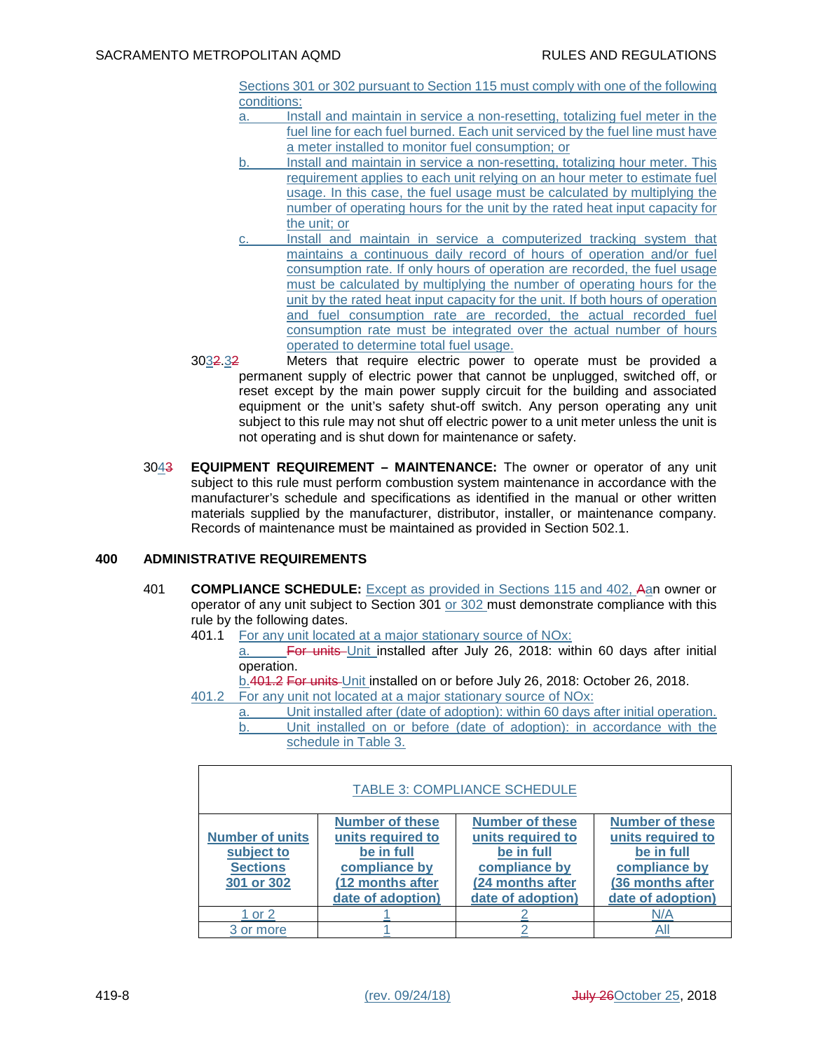Sections 301 or 302 pursuant to Section 115 must comply with one of the following conditions:

- a. Install and maintain in service a non-resetting, totalizing fuel meter in the fuel line for each fuel burned. Each unit serviced by the fuel line must have a meter installed to monitor fuel consumption; or
- b. Install and maintain in service a non-resetting, totalizing hour meter. This requirement applies to each unit relying on an hour meter to estimate fuel usage. In this case, the fuel usage must be calculated by multiplying the number of operating hours for the unit by the rated heat input capacity for the unit; or
- c. Install and maintain in service a computerized tracking system that maintains a continuous daily record of hours of operation and/or fuel consumption rate. If only hours of operation are recorded, the fuel usage must be calculated by multiplying the number of operating hours for the unit by the rated heat input capacity for the unit. If both hours of operation and fuel consumption rate are recorded, the actual recorded fuel consumption rate must be integrated over the actual number of hours operated to determine total fuel usage.
- 3032.32 Meters that require electric power to operate must be provided a permanent supply of electric power that cannot be unplugged, switched off, or reset except by the main power supply circuit for the building and associated equipment or the unit's safety shut-off switch. Any person operating any unit subject to this rule may not shut off electric power to a unit meter unless the unit is not operating and is shut down for maintenance or safety.
- 3043 **EQUIPMENT REQUIREMENT MAINTENANCE:** The owner or operator of any unit subject to this rule must perform combustion system maintenance in accordance with the manufacturer's schedule and specifications as identified in the manual or other written materials supplied by the manufacturer, distributor, installer, or maintenance company. Records of maintenance must be maintained as provided in Section 502.1.

## **400 ADMINISTRATIVE REQUIREMENTS**

- 401 **COMPLIANCE SCHEDULE:** Except as provided in Sections 115 and 402, Aan owner or operator of any unit subject to Section 301 or 302 must demonstrate compliance with this rule by the following dates.
	- 401.1 For any unit located at a major stationary source of NOx:

a. For units Unit installed after July 26, 2018: within 60 days after initial operation.

b.401.2 For units Unit installed on or before July 26, 2018: October 26, 2018.

- 401.2 For any unit not located at a major stationary source of NOx:
	- Unit installed after (date of adoption): within 60 days after initial operation. b. Unit installed on or before (date of adoption): in accordance with the schedule in Table 3.

| <b>TABLE 3: COMPLIANCE SCHEDULE</b>                                   |                                                                                                                     |                                                                                                                     |                                                                                                                     |  |  |  |
|-----------------------------------------------------------------------|---------------------------------------------------------------------------------------------------------------------|---------------------------------------------------------------------------------------------------------------------|---------------------------------------------------------------------------------------------------------------------|--|--|--|
| <b>Number of units</b><br>subject to<br><b>Sections</b><br>301 or 302 | <b>Number of these</b><br>units required to<br>be in full<br>compliance by<br>(12 months after<br>date of adoption) | <b>Number of these</b><br>units required to<br>be in full<br>compliance by<br>(24 months after<br>date of adoption) | <b>Number of these</b><br>units required to<br>be in full<br>compliance by<br>(36 months after<br>date of adoption) |  |  |  |
| 1 or 2                                                                |                                                                                                                     |                                                                                                                     | N/A                                                                                                                 |  |  |  |
| 3 or more                                                             |                                                                                                                     |                                                                                                                     |                                                                                                                     |  |  |  |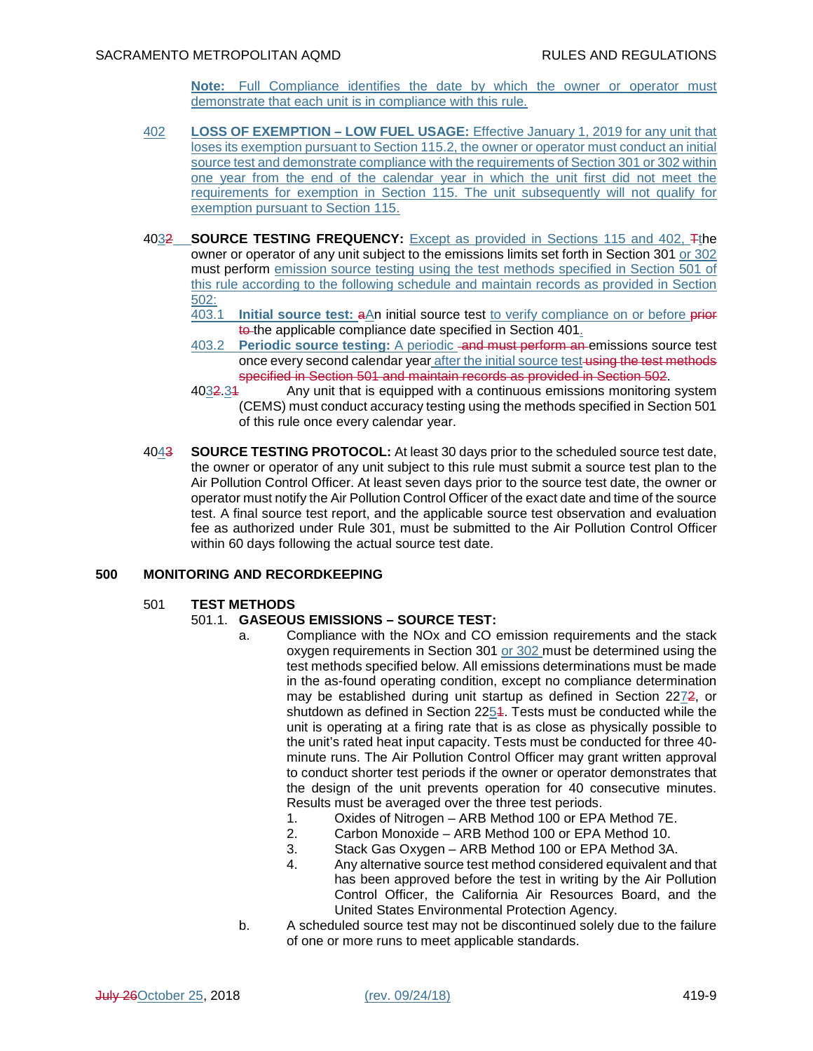**Note:** Full Compliance identifies the date by which the owner or operator must demonstrate that each unit is in compliance with this rule.

- 402 **LOSS OF EXEMPTION LOW FUEL USAGE:** Effective January 1, 2019 for any unit that loses its exemption pursuant to Section 115.2, the owner or operator must conduct an initial source test and demonstrate compliance with the requirements of Section 301 or 302 within one year from the end of the calendar year in which the unit first did not meet the requirements for exemption in Section 115. The unit subsequently will not qualify for exemption pursuant to Section 115.
- 4032 **SOURCE TESTING FREQUENCY:** Except as provided in Sections 115 and 402, Tthe owner or operator of any unit subject to the emissions limits set forth in Section 301 or 302 must perform emission source testing using the test methods specified in Section 501 of this rule according to the following schedule and maintain records as provided in Section 502:
	- 403.1 **Initial source test:** aAn initial source test to verify compliance on or before prior to the applicable compliance date specified in Section 401.
	- 403.2 **Periodic source testing:** A periodic and must perform an emissions source test once every second calendar year after the initial source test using the test methods specified in Section 501 and maintain records as provided in Section 502.
	- 4032.31 Any unit that is equipped with a continuous emissions monitoring system (CEMS) must conduct accuracy testing using the methods specified in Section 501 of this rule once every calendar year.
- 4043 **SOURCE TESTING PROTOCOL:** At least 30 days prior to the scheduled source test date, the owner or operator of any unit subject to this rule must submit a source test plan to the Air Pollution Control Officer. At least seven days prior to the source test date, the owner or operator must notify the Air Pollution Control Officer of the exact date and time of the source test. A final source test report, and the applicable source test observation and evaluation fee as authorized under Rule 301, must be submitted to the Air Pollution Control Officer within 60 days following the actual source test date.

## **500 MONITORING AND RECORDKEEPING**

#### 501 **TEST METHODS**

# 501.1. **GASEOUS EMISSIONS – SOURCE TEST:**

- a. Compliance with the NOx and CO emission requirements and the stack oxygen requirements in Section 301 or 302 must be determined using the test methods specified below. All emissions determinations must be made in the as-found operating condition, except no compliance determination may be established during unit startup as defined in Section 2272, or shutdown as defined in Section 2254. Tests must be conducted while the unit is operating at a firing rate that is as close as physically possible to the unit's rated heat input capacity. Tests must be conducted for three 40 minute runs. The Air Pollution Control Officer may grant written approval to conduct shorter test periods if the owner or operator demonstrates that the design of the unit prevents operation for 40 consecutive minutes. Results must be averaged over the three test periods.
	- 1. Oxides of Nitrogen ARB Method 100 or EPA Method 7E.
	- 2. Carbon Monoxide ARB Method 100 or EPA Method 10.
	- 3. Stack Gas Oxygen ARB Method 100 or EPA Method 3A.
	- 4. Any alternative source test method considered equivalent and that has been approved before the test in writing by the Air Pollution Control Officer, the California Air Resources Board, and the United States Environmental Protection Agency.
- b. A scheduled source test may not be discontinued solely due to the failure of one or more runs to meet applicable standards.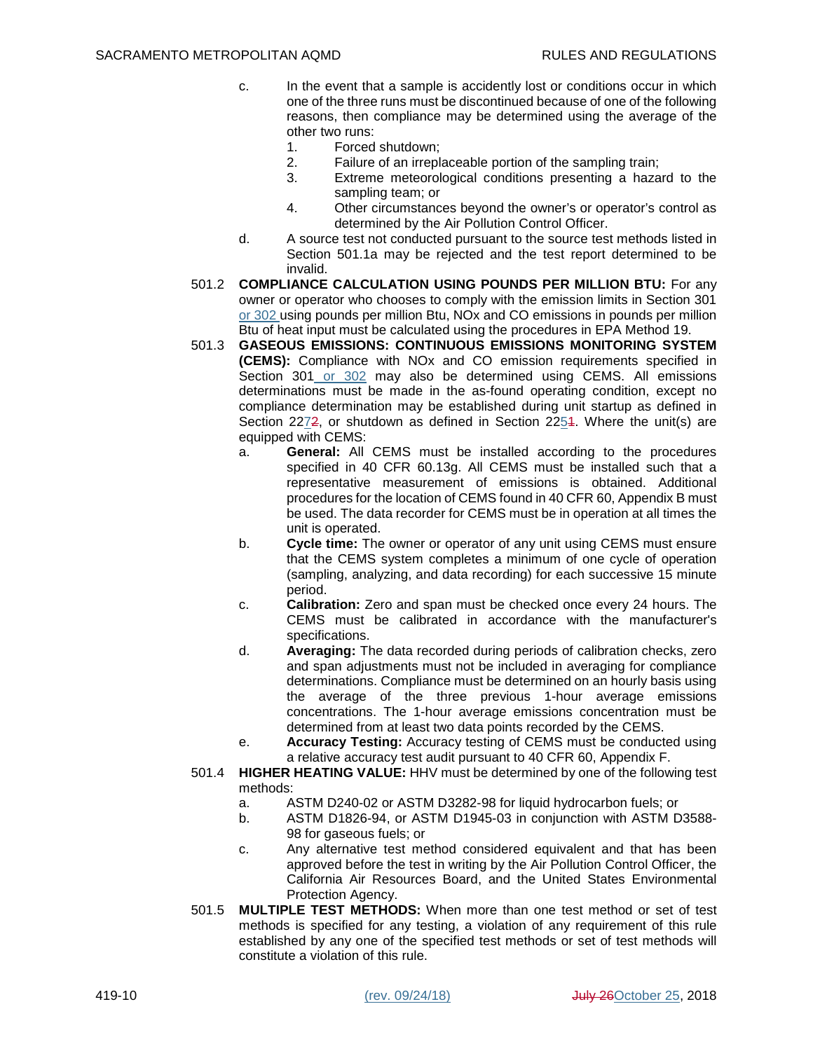- c. In the event that a sample is accidently lost or conditions occur in which one of the three runs must be discontinued because of one of the following reasons, then compliance may be determined using the average of the other two runs:
	- 1. Forced shutdown;
	- 2. Failure of an irreplaceable portion of the sampling train;
	- 3. Extreme meteorological conditions presenting a hazard to the sampling team; or
	- 4. Other circumstances beyond the owner's or operator's control as determined by the Air Pollution Control Officer.
- d. A source test not conducted pursuant to the source test methods listed in Section 501.1a may be rejected and the test report determined to be invalid.
- 501.2 **COMPLIANCE CALCULATION USING POUNDS PER MILLION BTU:** For any owner or operator who chooses to comply with the emission limits in Section 301 or 302 using pounds per million Btu, NOx and CO emissions in pounds per million Btu of heat input must be calculated using the procedures in EPA Method 19.
- 501.3 **GASEOUS EMISSIONS: CONTINUOUS EMISSIONS MONITORING SYSTEM (CEMS):** Compliance with NOx and CO emission requirements specified in Section 301 or 302 may also be determined using CEMS. All emissions determinations must be made in the as-found operating condition, except no compliance determination may be established during unit startup as defined in Section 227<del>2</del>, or shutdown as defined in Section 2254. Where the unit(s) are equipped with CEMS:
	- a. **General:** All CEMS must be installed according to the procedures specified in 40 CFR 60.13g. All CEMS must be installed such that a representative measurement of emissions is obtained. Additional procedures for the location of CEMS found in 40 CFR 60, Appendix B must be used. The data recorder for CEMS must be in operation at all times the unit is operated.
	- b. **Cycle time:** The owner or operator of any unit using CEMS must ensure that the CEMS system completes a minimum of one cycle of operation (sampling, analyzing, and data recording) for each successive 15 minute period.
	- c. **Calibration:** Zero and span must be checked once every 24 hours. The CEMS must be calibrated in accordance with the manufacturer's specifications.
	- d. **Averaging:** The data recorded during periods of calibration checks, zero and span adjustments must not be included in averaging for compliance determinations. Compliance must be determined on an hourly basis using the average of the three previous 1-hour average emissions concentrations. The 1-hour average emissions concentration must be determined from at least two data points recorded by the CEMS.
	- e. **Accuracy Testing:** Accuracy testing of CEMS must be conducted using a relative accuracy test audit pursuant to 40 CFR 60, Appendix F.
- 501.4 **HIGHER HEATING VALUE:** HHV must be determined by one of the following test methods:
	- a. ASTM D240-02 or ASTM D3282-98 for liquid hydrocarbon fuels; or
	- b. ASTM D1826-94, or ASTM D1945-03 in conjunction with ASTM D3588- 98 for gaseous fuels; or
	- c. Any alternative test method considered equivalent and that has been approved before the test in writing by the Air Pollution Control Officer, the California Air Resources Board, and the United States Environmental Protection Agency.
- 501.5 **MULTIPLE TEST METHODS:** When more than one test method or set of test methods is specified for any testing, a violation of any requirement of this rule established by any one of the specified test methods or set of test methods will constitute a violation of this rule.